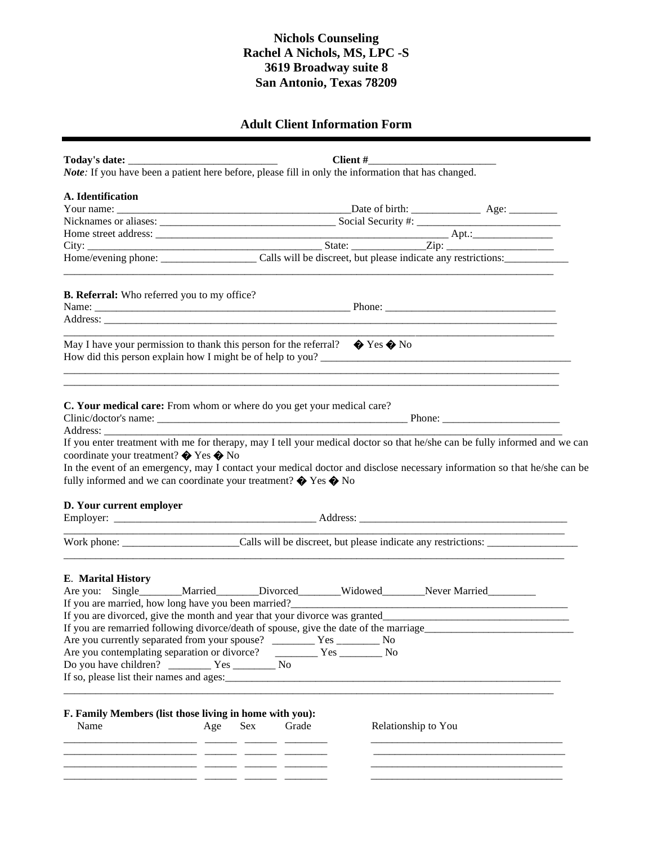## **Nichols Counseling Rachel A Nichols, MS, LPC -S 3619 Broadway suite 8 San Antonio, Texas 78209**

## **Adult Client Information Form**

| Note: If you have been a patient here before, please fill in only the information that has changed.                                                        |                                                             |     |       |          |                     |                                                                                                                            |
|------------------------------------------------------------------------------------------------------------------------------------------------------------|-------------------------------------------------------------|-----|-------|----------|---------------------|----------------------------------------------------------------------------------------------------------------------------|
| A. Identification                                                                                                                                          |                                                             |     |       |          |                     |                                                                                                                            |
|                                                                                                                                                            |                                                             |     |       |          |                     |                                                                                                                            |
|                                                                                                                                                            |                                                             |     |       |          |                     |                                                                                                                            |
|                                                                                                                                                            |                                                             |     |       |          |                     |                                                                                                                            |
|                                                                                                                                                            |                                                             |     |       |          |                     |                                                                                                                            |
|                                                                                                                                                            |                                                             |     |       |          |                     |                                                                                                                            |
| <b>B. Referral:</b> Who referred you to my office?                                                                                                         |                                                             |     |       |          |                     |                                                                                                                            |
|                                                                                                                                                            |                                                             |     |       |          |                     |                                                                                                                            |
|                                                                                                                                                            |                                                             |     |       |          |                     |                                                                                                                            |
| May I have your permission to thank this person for the referral? $\bullet$ Yes $\bullet$ No<br>How did this person explain how I might be of help to you? |                                                             |     |       |          |                     |                                                                                                                            |
| C. Your medical care: From whom or where do you get your medical care?                                                                                     |                                                             |     |       |          |                     |                                                                                                                            |
|                                                                                                                                                            |                                                             |     |       |          |                     | If you enter treatment with me for therapy, may I tell your medical doctor so that he/she can be fully informed and we can |
|                                                                                                                                                            |                                                             |     |       |          |                     |                                                                                                                            |
| coordinate your treatment? $\bullet$ Yes $\bullet$ No                                                                                                      |                                                             |     |       |          |                     |                                                                                                                            |
|                                                                                                                                                            |                                                             |     |       |          |                     | In the event of an emergency, may I contact your medical doctor and disclose necessary information so that he/she can be   |
| fully informed and we can coordinate your treatment? $\bigdiamond$ Yes $\bigdiamond$ No                                                                    |                                                             |     |       |          |                     |                                                                                                                            |
| D. Your current employer                                                                                                                                   |                                                             |     |       |          |                     |                                                                                                                            |
|                                                                                                                                                            |                                                             |     |       |          |                     |                                                                                                                            |
|                                                                                                                                                            | <u> 1989 - Johann Barbara, martxa al III-lea (h. 1989).</u> |     |       |          |                     |                                                                                                                            |
| E. Marital History<br>E. Marital History<br>Are you: Single________Married________Divorced________Widowed________Never Married__________                   |                                                             |     |       |          |                     |                                                                                                                            |
|                                                                                                                                                            |                                                             |     |       |          |                     |                                                                                                                            |
| If you are remarried following divorce/death of spouse, give the date of the marriage_                                                                     |                                                             |     |       |          |                     |                                                                                                                            |
| Are you currently separated from your spouse? _________ Yes ________ No                                                                                    |                                                             |     |       |          |                     |                                                                                                                            |
| Are you contemplating separation or divorce?                                                                                                               |                                                             |     |       | $Yes$ No |                     |                                                                                                                            |
|                                                                                                                                                            |                                                             |     |       |          |                     |                                                                                                                            |
|                                                                                                                                                            |                                                             |     |       |          |                     |                                                                                                                            |
|                                                                                                                                                            |                                                             |     |       |          |                     |                                                                                                                            |
| F. Family Members (list those living in home with you):<br>Name                                                                                            | Age                                                         | Sex | Grade |          | Relationship to You |                                                                                                                            |
|                                                                                                                                                            |                                                             |     |       |          |                     |                                                                                                                            |
|                                                                                                                                                            |                                                             |     |       |          |                     |                                                                                                                            |
|                                                                                                                                                            |                                                             |     |       |          |                     |                                                                                                                            |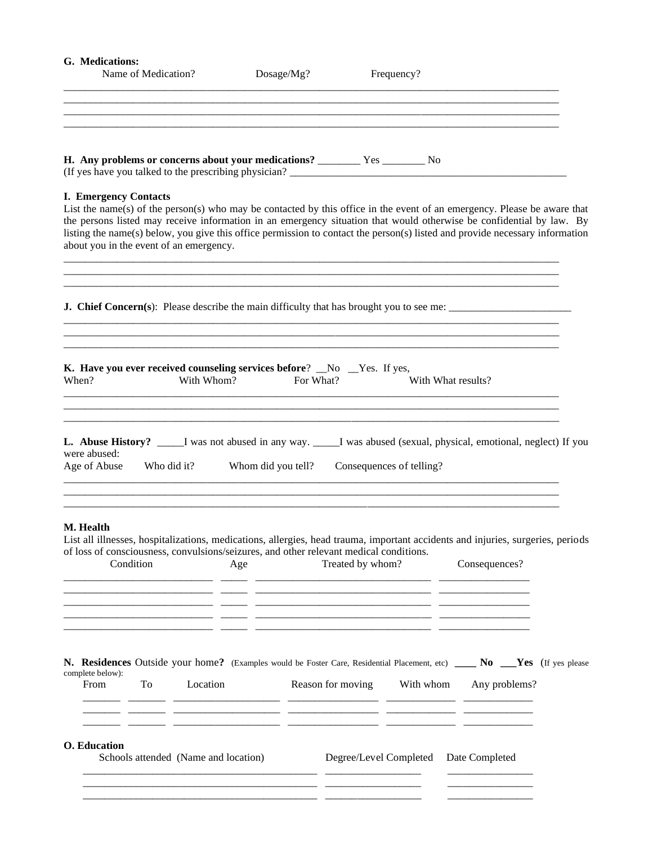## **G. Medications:**

| Name of Medication?                                                               | Dosage/Mg? | Frequency?                                                                                                                                                                                                                                                                                                                                                                       |  |
|-----------------------------------------------------------------------------------|------------|----------------------------------------------------------------------------------------------------------------------------------------------------------------------------------------------------------------------------------------------------------------------------------------------------------------------------------------------------------------------------------|--|
|                                                                                   |            |                                                                                                                                                                                                                                                                                                                                                                                  |  |
|                                                                                   |            |                                                                                                                                                                                                                                                                                                                                                                                  |  |
|                                                                                   |            |                                                                                                                                                                                                                                                                                                                                                                                  |  |
| H. Any problems or concerns about your medications? ___________ Yes __________ No |            | (If yes have you talked to the prescribing physician?                                                                                                                                                                                                                                                                                                                            |  |
| <b>I. Emergency Contacts</b><br>about you in the event of an emergency.           |            | List the name(s) of the person(s) who may be contacted by this office in the event of an emergency. Please be aware that<br>the persons listed may receive information in an emergency situation that would otherwise be confidential by law. By<br>listing the name(s) below, you give this office permission to contact the person(s) listed and provide necessary information |  |
|                                                                                   |            |                                                                                                                                                                                                                                                                                                                                                                                  |  |
|                                                                                   |            |                                                                                                                                                                                                                                                                                                                                                                                  |  |
|                                                                                   |            |                                                                                                                                                                                                                                                                                                                                                                                  |  |

| When?                        | K. Have you ever received counseling services before? No Yes. If yes,<br>With Whom? |                    | For What? | With What results?                                                                                                          |
|------------------------------|-------------------------------------------------------------------------------------|--------------------|-----------|-----------------------------------------------------------------------------------------------------------------------------|
|                              |                                                                                     |                    |           | <b>L. Abuse History?</b> ______I was not abused in any way. _____I was abused (sexual, physical, emotional, neglect) If you |
| were abused:<br>Age of Abuse | Who did it?                                                                         | Whom did you tell? |           | Consequences of telling?                                                                                                    |

\_\_\_\_\_\_\_\_\_\_\_\_\_\_\_\_\_\_\_\_\_\_\_\_\_\_\_\_\_\_\_\_\_\_\_\_\_\_\_\_\_\_\_\_\_\_\_\_\_\_\_\_\_\_\_\_\_\_\_\_\_\_\_\_\_\_\_\_\_\_\_\_\_\_\_\_\_\_\_\_\_\_\_\_\_\_\_\_\_\_\_\_\_ \_\_\_\_\_\_\_\_\_\_\_\_\_\_\_\_\_\_\_\_\_\_\_\_\_\_\_\_\_\_\_\_\_\_\_\_\_\_\_\_\_\_\_\_\_\_\_\_\_\_\_\_\_\_\_\_\_\_\_\_\_\_\_\_\_\_\_\_\_\_\_\_\_\_\_\_\_\_\_\_\_\_\_\_\_\_\_\_\_\_\_\_\_

## **M. Health**

List all illnesses, hospitalizations, medications, allergies, head trauma, important accidents and injuries, surgeries, periods of loss of consciousness, convulsions/seizures, and other relevant medical conditions.

\_\_\_\_\_\_\_\_\_\_\_\_\_\_\_\_\_\_\_\_\_\_\_\_\_\_\_\_\_\_\_\_\_\_\_\_\_\_\_\_\_\_\_\_\_\_\_\_\_\_\_\_\_\_\_\_\_\_\_\_\_\_\_\_\_\_\_\_\_\_\_\_\_\_\_\_\_\_\_\_\_\_\_\_\_\_\_\_\_\_\_\_\_ \_\_\_\_\_\_\_\_\_\_\_\_\_\_\_\_\_\_\_\_\_\_\_\_\_\_\_\_\_\_\_\_\_\_\_\_\_\_\_\_\_\_\_\_\_\_\_\_\_\_\_\_\_\_\_\_\_\_\_\_\_\_\_\_\_\_\_\_\_\_\_\_\_\_\_\_\_\_\_\_\_\_\_\_\_\_\_\_\_\_\_\_\_

| Condition                      | Age                                  | Treated by whom?                                                                                                                                            | Consequences?  |  |
|--------------------------------|--------------------------------------|-------------------------------------------------------------------------------------------------------------------------------------------------------------|----------------|--|
|                                |                                      |                                                                                                                                                             |                |  |
| complete below):<br>To<br>From | Location                             | N. Residences Outside your home? (Examples would be Foster Care, Residential Placement, etc) ____ No __Yes (If yes please<br>With whom<br>Reason for moving | Any problems?  |  |
| <b>O.</b> Education            | Schools attended (Name and location) | Degree/Level Completed                                                                                                                                      | Date Completed |  |